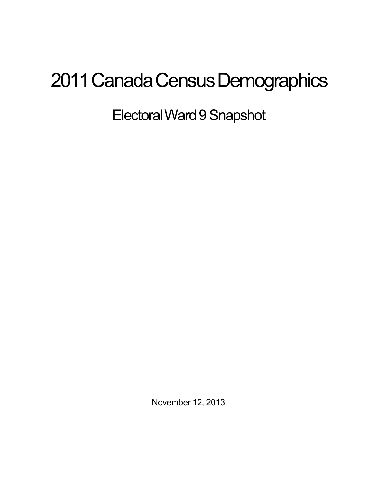## 2011 Canada Census Demographics

Electoral Ward 9 Snapshot

November 12, 2013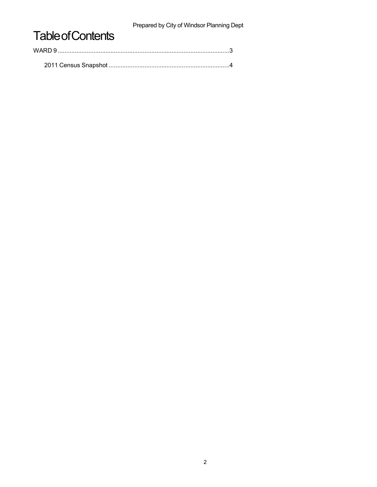Prepared by City of Windsor Planning Dept

## **Table of Contents**

| WARD 9 |  |  |
|--------|--|--|
|        |  |  |
|        |  |  |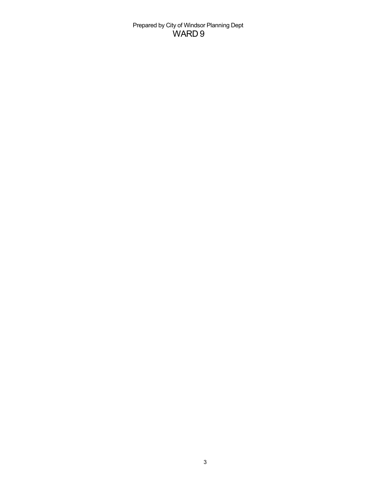Prepared by City of Windsor Planning Dept WARD 9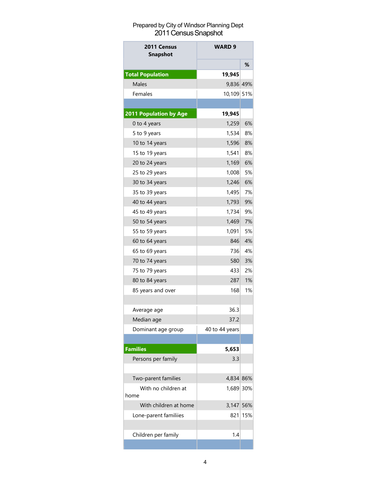## Prepared by City of Windsor Planning Dept 2011 Census Snapshot

| 2011 Census<br><b>Snapshot</b> | WARD 9         |     |
|--------------------------------|----------------|-----|
|                                |                | ℅   |
| <b>Total Population</b>        | 19,945         |     |
| <b>Males</b>                   | 9,836 49%      |     |
| Females                        | 10,109 51%     |     |
|                                |                |     |
| 2011 Population by Age         | 19,945         |     |
| 0 to 4 years                   | 1,259          | 6%  |
| 5 to 9 years                   | 1,534          | 8%  |
| 10 to 14 years                 | 1,596          | 8%  |
| 15 to 19 years                 | 1,541          | 8%  |
| 20 to 24 years                 | 1,169          | 6%  |
| 25 to 29 years                 | 1,008          | 5%  |
| 30 to 34 years                 | 1,246          | 6%  |
| 35 to 39 years                 | 1,495          | 7%  |
| 40 to 44 years                 | 1,793          | 9%  |
| 45 to 49 years                 | 1,734          | 9%  |
| 50 to 54 years                 | 1,469          | 7%  |
| 55 to 59 years                 | 1,091          | 5%  |
| 60 to 64 years                 | 846            | 4%  |
| 65 to 69 years                 | 736            | 4%  |
| 70 to 74 years                 | 580            | 3%  |
| 75 to 79 years                 | 433            | 2%  |
| 80 to 84 years                 | 287            | 1%  |
| 85 years and over              | 168            | 1%  |
|                                |                |     |
| Average age                    | 36.3           |     |
| Median age                     | 37.2           |     |
| Dominant age group             | 40 to 44 years |     |
|                                |                |     |
| <b>Families</b>                | 5,653          |     |
| Persons per family             | 3.3            |     |
|                                |                |     |
| Two-parent families            | 4,834 86%      |     |
| With no children at            | 1,689 30%      |     |
| home                           |                |     |
| With children at home          | 3,147          | 56% |
| Lone-parent familiies          | 821            | 15% |
|                                |                |     |
| Children per family            | 1.4            |     |
|                                |                |     |